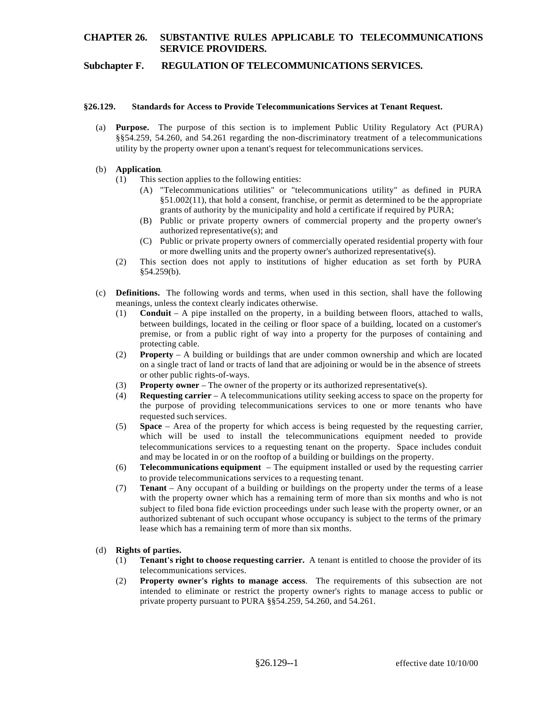## **Subchapter F. REGULATION OF TELECOMMUNICATIONS SERVICES.**

#### **§26.129. Standards for Access to Provide Telecommunications Services at Tenant Request.**

(a) **Purpose.** The purpose of this section is to implement Public Utility Regulatory Act (PURA) §§54.259, 54.260, and 54.261 regarding the non-discriminatory treatment of a telecommunications utility by the property owner upon a tenant's request for telecommunications services.

### (b) **Application**.

- $(1)$  This section applies to the following entities:
	- (A) "Telecommunications utilities" or "telecommunications utility" as defined in PURA §51.002(11), that hold a consent, franchise, or permit as determined to be the appropriate grants of authority by the municipality and hold a certificate if required by PURA;
	- (B) Public or private property owners of commercial property and the property owner's authorized representative(s); and
	- (C) Public or private property owners of commercially operated residential property with four or more dwelling units and the property owner's authorized representative(s).
- (2) This section does not apply to institutions of higher education as set forth by PURA §54.259(b).
- (c) **Definitions.** The following words and terms, when used in this section, shall have the following meanings, unless the context clearly indicates otherwise.
	- (1) **Conduit** A pipe installed on the property, in a building between floors, attached to walls, between buildings, located in the ceiling or floor space of a building, located on a customer's premise, or from a public right of way into a property for the purposes of containing and protecting cable.
	- (2) **Property**  A building or buildings that are under common ownership and which are located on a single tract of land or tracts of land that are adjoining or would be in the absence of streets or other public rights-of-ways.
	- (3) **Property owner**  The owner of the property or its authorized representative(s).
	- (4) **Requesting carrier**  A telecommunications utility seeking access to space on the property for the purpose of providing telecommunications services to one or more tenants who have requested such services.
	- (5) **Space** Area of the property for which access is being requested by the requesting carrier, which will be used to install the telecommunications equipment needed to provide telecommunications services to a requesting tenant on the property. Space includes conduit and may be located in or on the rooftop of a building or buildings on the property.
	- (6) **Telecommunications equipment**  The equipment installed or used by the requesting carrier to provide telecommunications services to a requesting tenant.
	- (7) **Tenant**  Any occupant of a building or buildings on the property under the terms of a lease with the property owner which has a remaining term of more than six months and who is not subject to filed bona fide eviction proceedings under such lease with the property owner, or an authorized subtenant of such occupant whose occupancy is subject to the terms of the primary lease which has a remaining term of more than six months.

## (d) **Rights of parties.**

- (1) **Tenant's right to choose requesting carrier.** A tenant is entitled to choose the provider of its telecommunications services.
- (2) **Property owner's rights to manage access**. The requirements of this subsection are not intended to eliminate or restrict the property owner's rights to manage access to public or private property pursuant to PURA §§54.259, 54.260, and 54.261.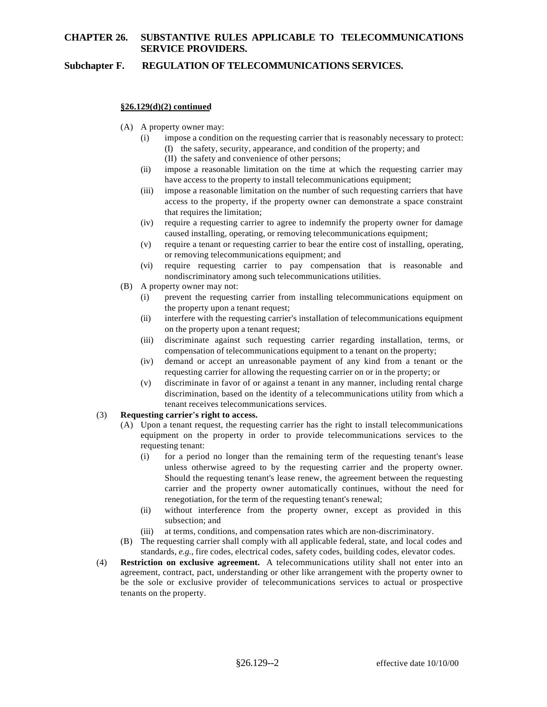# **Subchapter F. REGULATION OF TELECOMMUNICATIONS SERVICES.**

### **§26.129(d)(2) continued**

- (A) A property owner may:
	- (i) impose a condition on the requesting carrier that is reasonably necessary to protect: (I) the safety, security, appearance, and condition of the property; and
		- (II) the safety and convenience of other persons;
	- (ii) impose a reasonable limitation on the time at which the requesting carrier may have access to the property to install telecommunications equipment;
	- (iii) impose a reasonable limitation on the number of such requesting carriers that have access to the property, if the property owner can demonstrate a space constraint that requires the limitation;
	- (iv) require a requesting carrier to agree to indemnify the property owner for damage caused installing, operating, or removing telecommunications equipment;
	- (v) require a tenant or requesting carrier to bear the entire cost of installing, operating, or removing telecommunications equipment; and
	- (vi) require requesting carrier to pay compensation that is reasonable and nondiscriminatory among such telecommunications utilities.
- (B) A property owner may not:
	- (i) prevent the requesting carrier from installing telecommunications equipment on the property upon a tenant request;
	- (ii) interfere with the requesting carrier's installation of telecommunications equipment on the property upon a tenant request;
	- (iii) discriminate against such requesting carrier regarding installation, terms, or compensation of telecommunications equipment to a tenant on the property;
	- (iv) demand or accept an unreasonable payment of any kind from a tenant or the requesting carrier for allowing the requesting carrier on or in the property; or
	- (v) discriminate in favor of or against a tenant in any manner, including rental charge discrimination, based on the identity of a telecommunications utility from which a tenant receives telecommunications services.
- (3) **Requesting carrier's right to access.** 
	- (A) Upon a tenant request, the requesting carrier has the right to install telecommunications equipment on the property in order to provide telecommunications services to the requesting tenant:
		- (i) for a period no longer than the remaining term of the requesting tenant's lease unless otherwise agreed to by the requesting carrier and the property owner. Should the requesting tenant's lease renew, the agreement between the requesting carrier and the property owner automatically continues, without the need for renegotiation, for the term of the requesting tenant's renewal;
		- (ii) without interference from the property owner, except as provided in this subsection; and
		- (iii) at terms, conditions, and compensation rates which are non-discriminatory.
	- (B) The requesting carrier shall comply with all applicable federal, state, and local codes and standards, *e.g.,* fire codes, electrical codes, safety codes, building codes, elevator codes.
- (4) **Restriction on exclusive agreement.** A telecommunications utility shall not enter into an agreement, contract, pact, understanding or other like arrangement with the property owner to be the sole or exclusive provider of telecommunications services to actual or prospective tenants on the property.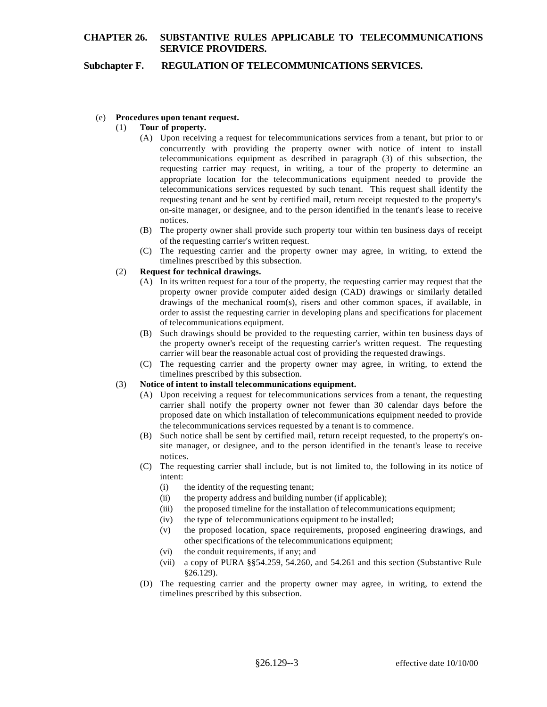## **Subchapter F. REGULATION OF TELECOMMUNICATIONS SERVICES.**

### (e) **Procedures upon tenant request.**

### (1) **Tour of property.**

- (A) Upon receiving a request for telecommunications services from a tenant, but prior to or concurrently with providing the property owner with notice of intent to install telecommunications equipment as described in paragraph (3) of this subsection, the requesting carrier may request, in writing, a tour of the property to determine an appropriate location for the telecommunications equipment needed to provide the telecommunications services requested by such tenant. This request shall identify the requesting tenant and be sent by certified mail, return receipt requested to the property's on-site manager, or designee, and to the person identified in the tenant's lease to receive notices.
- (B) The property owner shall provide such property tour within ten business days of receipt of the requesting carrier's written request.
- (C) The requesting carrier and the property owner may agree, in writing, to extend the timelines prescribed by this subsection.

## (2) **Request for technical drawings.**

- (A) In its written request for a tour of the property, the requesting carrier may request that the property owner provide computer aided design (CAD) drawings or similarly detailed drawings of the mechanical room(s), risers and other common spaces, if available, in order to assist the requesting carrier in developing plans and specifications for placement of telecommunications equipment.
- (B) Such drawings should be provided to the requesting carrier, within ten business days of the property owner's receipt of the requesting carrier's written request. The requesting carrier will bear the reasonable actual cost of providing the requested drawings.
- (C) The requesting carrier and the property owner may agree, in writing, to extend the timelines prescribed by this subsection.

#### (3) **Notice of intent to install telecommunications equipment.**

- (A) Upon receiving a request for telecommunications services from a tenant, the requesting carrier shall notify the property owner not fewer than 30 calendar days before the proposed date on which installation of telecommunications equipment needed to provide the telecommunications services requested by a tenant is to commence.
- (B) Such notice shall be sent by certified mail, return receipt requested, to the property's onsite manager, or designee, and to the person identified in the tenant's lease to receive notices.
- (C) The requesting carrier shall include, but is not limited to, the following in its notice of intent:
	- (i) the identity of the requesting tenant;
	- (ii) the property address and building number (if applicable);
	- (iii) the proposed timeline for the installation of telecommunications equipment;
	- (iv) the type of telecommunications equipment to be installed;
	- (v) the proposed location, space requirements, proposed engineering drawings, and other specifications of the telecommunications equipment;
	- (vi) the conduit requirements, if any; and
	- (vii) a copy of PURA §§54.259, 54.260, and 54.261 and this section (Substantive Rule §26.129).
- (D) The requesting carrier and the property owner may agree, in writing, to extend the timelines prescribed by this subsection.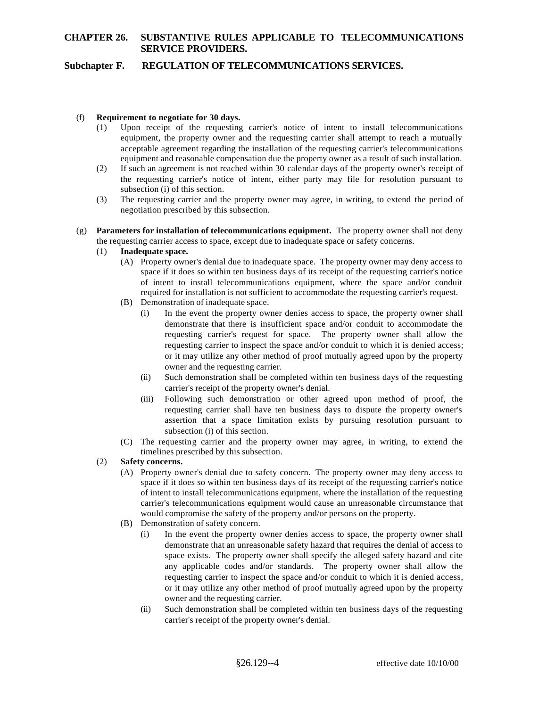## **Subchapter F. REGULATION OF TELECOMMUNICATIONS SERVICES.**

### (f) **Requirement to negotiate for 30 days.**

- (1) Upon receipt of the requesting carrier's notice of intent to install telecommunications equipment, the property owner and the requesting carrier shall attempt to reach a mutually acceptable agreement regarding the installation of the requesting carrier's telecommunications equipment and reasonable compensation due the property owner as a result of such installation.
- (2) If such an agreement is not reached within 30 calendar days of the property owner's receipt of the requesting carrier's notice of intent, either party may file for resolution pursuant to subsection (i) of this section.
- (3) The requesting carrier and the property owner may agree, in writing, to extend the period of negotiation prescribed by this subsection.
- (g) **Parameters for installation of telecommunications equipment.** The property owner shall not deny the requesting carrier access to space, except due to inadequate space or safety concerns.
	- (1) **Inadequate space.** 
		- (A) Property owner's denial due to inadequate space. The property owner may deny access to space if it does so within ten business days of its receipt of the requesting carrier's notice of intent to install telecommunications equipment, where the space and/or conduit required for installation is not sufficient to accommodate the requesting carrier's request.
		- (B) Demonstration of inadequate space.
			- (i) In the event the property owner denies access to space, the property owner shall demonstrate that there is insufficient space and/or conduit to accommodate the requesting carrier's request for space. The property owner shall allow the requesting carrier to inspect the space and/or conduit to which it is denied access; or it may utilize any other method of proof mutually agreed upon by the property owner and the requesting carrier.
			- (ii) Such demonstration shall be completed within ten business days of the requesting carrier's receipt of the property owner's denial.
			- (iii) Following such demonstration or other agreed upon method of proof, the requesting carrier shall have ten business days to dispute the property owner's assertion that a space limitation exists by pursuing resolution pursuant to subsection (i) of this section.
		- (C) The requesting carrier and the property owner may agree, in writing, to extend the timelines prescribed by this subsection.
	- (2) **Safety concerns.** 
		- (A) Property owner's denial due to safety concern. The property owner may deny access to space if it does so within ten business days of its receipt of the requesting carrier's notice of intent to install telecommunications equipment, where the installation of the requesting carrier's telecommunications equipment would cause an unreasonable circumstance that would compromise the safety of the property and/or persons on the property.
		- (B) Demonstration of safety concern.
			- (i) In the event the property owner denies access to space, the property owner shall demonstrate that an unreasonable safety hazard that requires the denial of access to space exists. The property owner shall specify the alleged safety hazard and cite any applicable codes and/or standards. The property owner shall allow the requesting carrier to inspect the space and/or conduit to which it is denied access, or it may utilize any other method of proof mutually agreed upon by the property owner and the requesting carrier.
			- (ii) Such demonstration shall be completed within ten business days of the requesting carrier's receipt of the property owner's denial.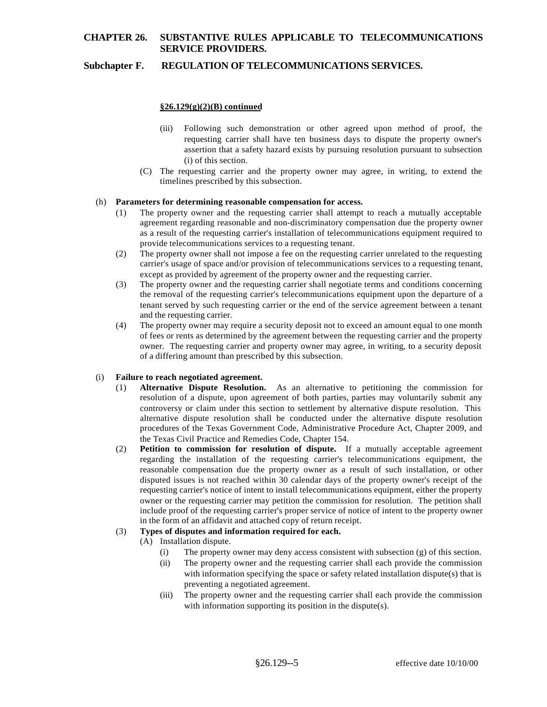## **Subchapter F. REGULATION OF TELECOMMUNICATIONS SERVICES.**

### **§26.129(g)(2)(B) continued**

- (iii) Following such demonstration or other agreed upon method of proof, the requesting carrier shall have ten business days to dispute the property owner's assertion that a safety hazard exists by pursuing resolution pursuant to subsection (i) of this section.
- (C) The requesting carrier and the property owner may agree, in writing, to extend the timelines prescribed by this subsection.

#### (h) **Parameters for determining reasonable compensation for access.**

- (1) The property owner and the requesting carrier shall attempt to reach a mutually acceptable agreement regarding reasonable and non-discriminatory compensation due the property owner as a result of the requesting carrier's installation of telecommunications equipment required to provide telecommunications services to a requesting tenant.
- (2) The property owner shall not impose a fee on the requesting carrier unrelated to the requesting carrier's usage of space and/or provision of telecommunications services to a requesting tenant, except as provided by agreement of the property owner and the requesting carrier.
- (3) The property owner and the requesting carrier shall negotiate terms and conditions concerning the removal of the requesting carrier's telecommunications equipment upon the departure of a tenant served by such requesting carrier or the end of the service agreement between a tenant and the requesting carrier.
- (4) The property owner may require a security deposit not to exceed an amount equal to one month of fees or rents as determined by the agreement between the requesting carrier and the property owner. The requesting carrier and property owner may agree, in writing, to a security deposit of a differing amount than prescribed by this subsection.

### (i) **Failure to reach negotiated agreement.**

- (1) **Alternative Dispute Resolution.** As an alternative to petitioning the commission for resolution of a dispute, upon agreement of both parties, parties may voluntarily submit any controversy or claim under this section to settlement by alternative dispute resolution. This alternative dispute resolution shall be conducted under the alternative dispute resolution procedures of the Texas Government Code, Administrative Procedure Act, Chapter 2009, and the Texas Civil Practice and Remedies Code, Chapter 154.
- (2) **Petition to commission for resolution of dispute.** If a mutually acceptable agreement regarding the installation of the requesting carrier's telecommunications equipment, the reasonable compensation due the property owner as a result of such installation, or other disputed issues is not reached within 30 calendar days of the property owner's receipt of the requesting carrier's notice of intent to install telecommunications equipment, either the property owner or the requesting carrier may petition the commission for resolution. The petition shall include proof of the requesting carrier's proper service of notice of intent to the property owner in the form of an affidavit and attached copy of return receipt.

#### (3) **Types of disputes and information required for each.**

- (A) Installation dispute.
	- (i) The property owner may deny access consistent with subsection  $(g)$  of this section.
	- (ii) The property owner and the requesting carrier shall each provide the commission with information specifying the space or safety related installation dispute(s) that is preventing a negotiated agreement.
	- (iii) The property owner and the requesting carrier shall each provide the commission with information supporting its position in the dispute(s).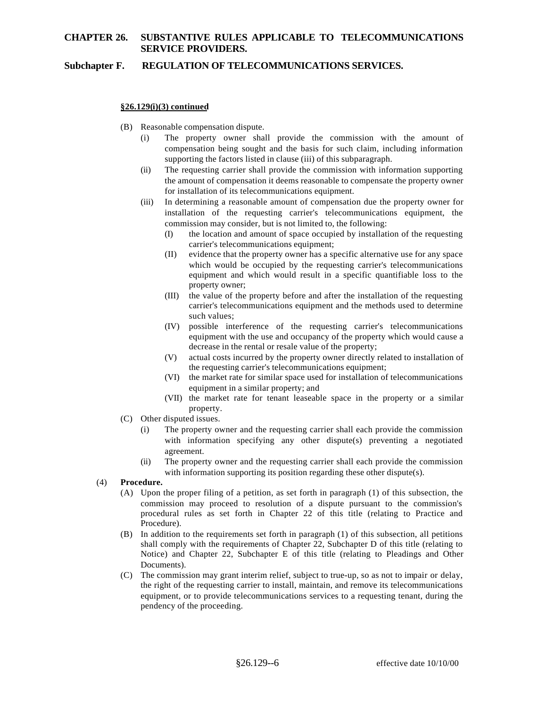## **Subchapter F. REGULATION OF TELECOMMUNICATIONS SERVICES.**

### **§26.129(i)(3) continued**

- (B) Reasonable compensation dispute.
	- (i) The property owner shall provide the commission with the amount of compensation being sought and the basis for such claim, including information supporting the factors listed in clause (iii) of this subparagraph.
	- (ii) The requesting carrier shall provide the commission with information supporting the amount of compensation it deems reasonable to compensate the property owner for installation of its telecommunications equipment.
	- (iii) In determining a reasonable amount of compensation due the property owner for installation of the requesting carrier's telecommunications equipment, the commission may consider, but is not limited to, the following:
		- (I) the location and amount of space occupied by installation of the requesting carrier's telecommunications equipment;
		- (II) evidence that the property owner has a specific alternative use for any space which would be occupied by the requesting carrier's telecommunications equipment and which would result in a specific quantifiable loss to the property owner;
		- (III) the value of the property before and after the installation of the requesting carrier's telecommunications equipment and the methods used to determine such values;
		- (IV) possible interference of the requesting carrier's telecommunications equipment with the use and occupancy of the property which would cause a decrease in the rental or resale value of the property;
		- (V) actual costs incurred by the property owner directly related to installation of the requesting carrier's telecommunications equipment;
		- (VI) the market rate for similar space used for installation of telecommunications equipment in a similar property; and
		- (VII) the market rate for tenant leaseable space in the property or a similar property.
- (C) Other disputed issues.
	- (i) The property owner and the requesting carrier shall each provide the commission with information specifying any other dispute(s) preventing a negotiated agreement.
	- (ii) The property owner and the requesting carrier shall each provide the commission with information supporting its position regarding these other dispute(s).
- (4) **Procedure.** 
	- (A) Upon the proper filing of a petition, as set forth in paragraph (1) of this subsection, the commission may proceed to resolution of a dispute pursuant to the commission's procedural rules as set forth in Chapter 22 of this title (relating to Practice and Procedure).
	- (B) In addition to the requirements set forth in paragraph (1) of this subsection, all petitions shall comply with the requirements of Chapter 22, Subchapter D of this title (relating to Notice) and Chapter 22, Subchapter E of this title (relating to Pleadings and Other Documents).
	- (C) The commission may grant interim relief, subject to true-up, so as not to impair or delay, the right of the requesting carrier to install, maintain, and remove its telecommunications equipment, or to provide telecommunications services to a requesting tenant, during the pendency of the proceeding.